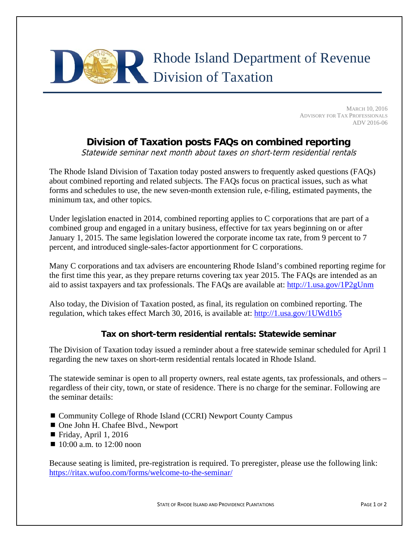

MARCH 10, 2016 ADVISORY FOR TAX PROFESSIONALS ADV 2016-06

## **Division of Taxation posts FAQs on combined reporting**

Statewide seminar next month about taxes on short-term residential rentals

The Rhode Island Division of Taxation today posted answers to frequently asked questions (FAQs) about combined reporting and related subjects. The FAQs focus on practical issues, such as what forms and schedules to use, the new seven-month extension rule, e-filing, estimated payments, the minimum tax, and other topics.

Under legislation enacted in 2014, combined reporting applies to C corporations that are part of a combined group and engaged in a unitary business, effective for tax years beginning on or after January 1, 2015. The same legislation lowered the corporate income tax rate, from 9 percent to 7 percent, and introduced single-sales-factor apportionment for C corporations.

Many C corporations and tax advisers are encountering Rhode Island's combined reporting regime for the first time this year, as they prepare returns covering tax year 2015. The FAQs are intended as an aid to assist taxpayers and tax professionals. The FAQs are available at: http://1.usa.gov/1P2gUnm

Also today, the Division of Taxation posted, as final, its regulation on combined reporting. The regulation, which takes effect March 30, 2016, is available at: http://1.usa.gov/1UWd1b5

## **Tax on short-term residential rentals: Statewide seminar**

The Division of Taxation today issued a reminder about a free statewide seminar scheduled for April 1 regarding the new taxes on short-term residential rentals located in Rhode Island.

The statewide seminar is open to all property owners, real estate agents, tax professionals, and others – regardless of their city, town, or state of residence. There is no charge for the seminar. Following are the seminar details:

- Community College of Rhode Island (CCRI) Newport County Campus
- One John H. Chafee Blvd., Newport
- Friday, April 1, 2016
- $\blacksquare$  10:00 a.m. to 12:00 noon

Because seating is limited, pre-registration is required. To preregister, please use the following link: https://ritax.wufoo.com/forms/welcome-to-the-seminar/